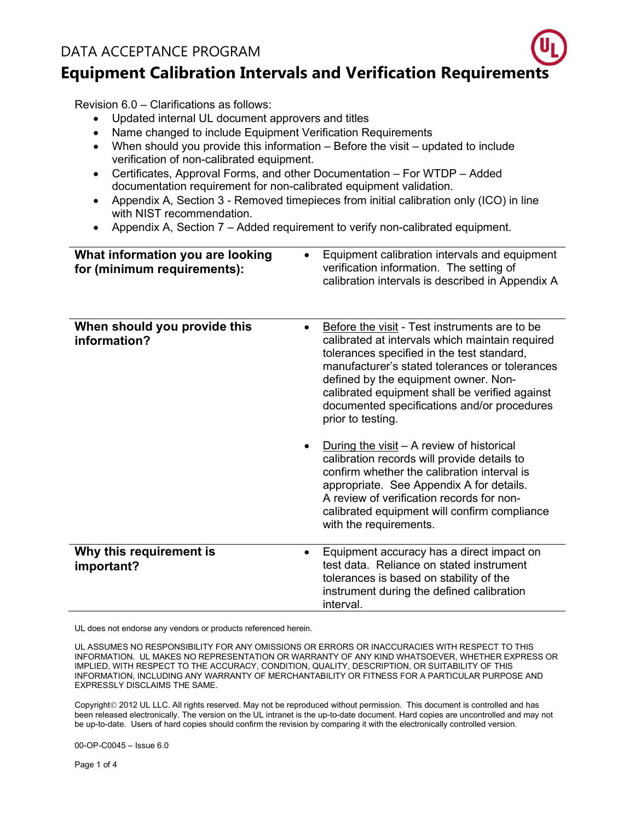## DATA ACCEPTANCE PROGRAM

## Equipment Calibration Intervals and Verification Requirements

Revision 6.0 – Clarifications as follows:

- Updated internal UL document approvers and titles
- Name changed to include Equipment Verification Requirements
- When should you provide this information Before the visit updated to include verification of non-calibrated equipment.
- Certificates, Approval Forms, and other Documentation For WTDP Added documentation requirement for non-calibrated equipment validation.
- Appendix A, Section 3 Removed timepieces from initial calibration only (ICO) in line with NIST recommendation.
- Appendix A, Section 7 Added requirement to verify non-calibrated equipment.

| What information you are looking<br>for (minimum requirements): | Equipment calibration intervals and equipment<br>verification information. The setting of<br>calibration intervals is described in Appendix A                                                                                                                                                                                                                                                                                                                                                                                                                                                                                                                                               |
|-----------------------------------------------------------------|---------------------------------------------------------------------------------------------------------------------------------------------------------------------------------------------------------------------------------------------------------------------------------------------------------------------------------------------------------------------------------------------------------------------------------------------------------------------------------------------------------------------------------------------------------------------------------------------------------------------------------------------------------------------------------------------|
| When should you provide this<br>information?                    | Before the visit - Test instruments are to be<br>$\bullet$<br>calibrated at intervals which maintain required<br>tolerances specified in the test standard,<br>manufacturer's stated tolerances or tolerances<br>defined by the equipment owner. Non-<br>calibrated equipment shall be verified against<br>documented specifications and/or procedures<br>prior to testing.<br>During the visit $-$ A review of historical<br>calibration records will provide details to<br>confirm whether the calibration interval is<br>appropriate. See Appendix A for details.<br>A review of verification records for non-<br>calibrated equipment will confirm compliance<br>with the requirements. |
| Why this requirement is<br>important?                           | Equipment accuracy has a direct impact on<br>$\bullet$<br>test data. Reliance on stated instrument<br>tolerances is based on stability of the<br>instrument during the defined calibration<br>interval.                                                                                                                                                                                                                                                                                                                                                                                                                                                                                     |

UL does not endorse any vendors or products referenced herein.

00-OP-C0045 – Issue 6.0

Page 1 of 4

UL ASSUMES NO RESPONSIBILITY FOR ANY OMISSIONS OR ERRORS OR INACCURACIES WITH RESPECT TO THIS INFORMATION. UL MAKES NO REPRESENTATION OR WARRANTY OF ANY KIND WHATSOEVER, WHETHER EXPRESS OR IMPLIED, WITH RESPECT TO THE ACCURACY, CONDITION, QUALITY, DESCRIPTION, OR SUITABILITY OF THIS INFORMATION, INCLUDING ANY WARRANTY OF MERCHANTABILITY OR FITNESS FOR A PARTICULAR PURPOSE AND EXPRESSLY DISCLAIMS THE SAME.

Copyright 2012 UL LLC. All rights reserved. May not be reproduced without permission. This document is controlled and has been released electronically. The version on the UL intranet is the up-to-date document. Hard copies are uncontrolled and may not be up-to-date. Users of hard copies should confirm the revision by comparing it with the electronically controlled version.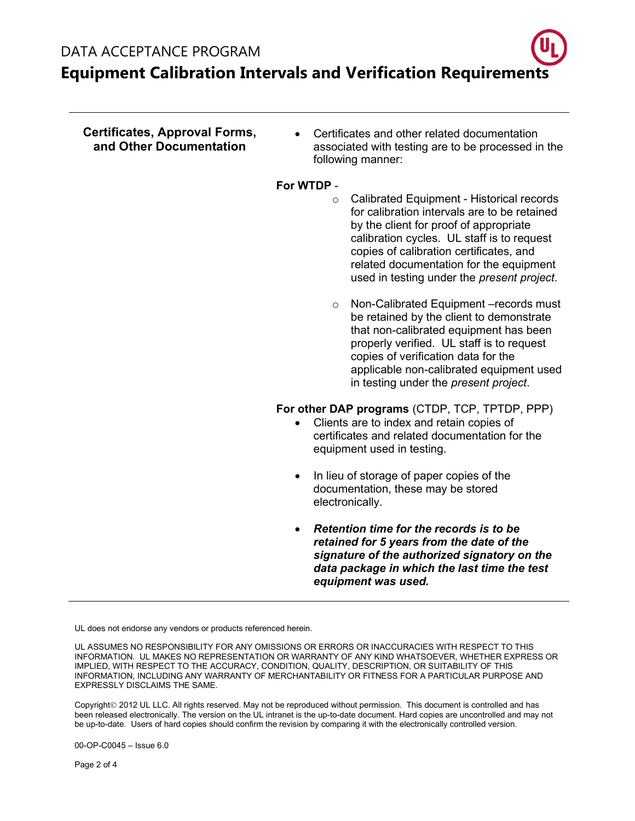| <b>Certificates, Approval Forms,</b><br>and Other Documentation | Certificates and other related documentation<br>$\bullet$<br>associated with testing are to be processed in the<br>following manner:                                                                                                                                                                                                                                                                                                                                                                                                                                                                                                                                |
|-----------------------------------------------------------------|---------------------------------------------------------------------------------------------------------------------------------------------------------------------------------------------------------------------------------------------------------------------------------------------------------------------------------------------------------------------------------------------------------------------------------------------------------------------------------------------------------------------------------------------------------------------------------------------------------------------------------------------------------------------|
|                                                                 | For WTDP -<br>Calibrated Equipment - Historical records<br>$\circ$<br>for calibration intervals are to be retained<br>by the client for proof of appropriate<br>calibration cycles. UL staff is to request<br>copies of calibration certificates, and<br>related documentation for the equipment<br>used in testing under the present project.<br>Non-Calibrated Equipment - records must<br>$\circ$<br>be retained by the client to demonstrate<br>that non-calibrated equipment has been<br>properly verified. UL staff is to request<br>copies of verification data for the<br>applicable non-calibrated equipment used<br>in testing under the present project. |
|                                                                 | For other DAP programs (CTDP, TCP, TPTDP, PPP)<br>Clients are to index and retain copies of<br>$\bullet$<br>certificates and related documentation for the<br>equipment used in testing.<br>In lieu of storage of paper copies of the<br>$\bullet$                                                                                                                                                                                                                                                                                                                                                                                                                  |
|                                                                 | documentation, these may be stored<br>electronically.                                                                                                                                                                                                                                                                                                                                                                                                                                                                                                                                                                                                               |

 Retention time for the records is to be retained for 5 years from the date of the signature of the authorized signatory on the data package in which the last time the test equipment was used.

UL does not endorse any vendors or products referenced herein.

UL ASSUMES NO RESPONSIBILITY FOR ANY OMISSIONS OR ERRORS OR INACCURACIES WITH RESPECT TO THIS INFORMATION. UL MAKES NO REPRESENTATION OR WARRANTY OF ANY KIND WHATSOEVER, WHETHER EXPRESS OR IMPLIED, WITH RESPECT TO THE ACCURACY, CONDITION, QUALITY, DESCRIPTION, OR SUITABILITY OF THIS INFORMATION, INCLUDING ANY WARRANTY OF MERCHANTABILITY OR FITNESS FOR A PARTICULAR PURPOSE AND EXPRESSLY DISCLAIMS THE SAME.

Copyright 2012 UL LLC. All rights reserved. May not be reproduced without permission. This document is controlled and has been released electronically. The version on the UL intranet is the up-to-date document. Hard copies are uncontrolled and may not be up-to-date. Users of hard copies should confirm the revision by comparing it with the electronically controlled version.

00-OP-C0045 – Issue 6.0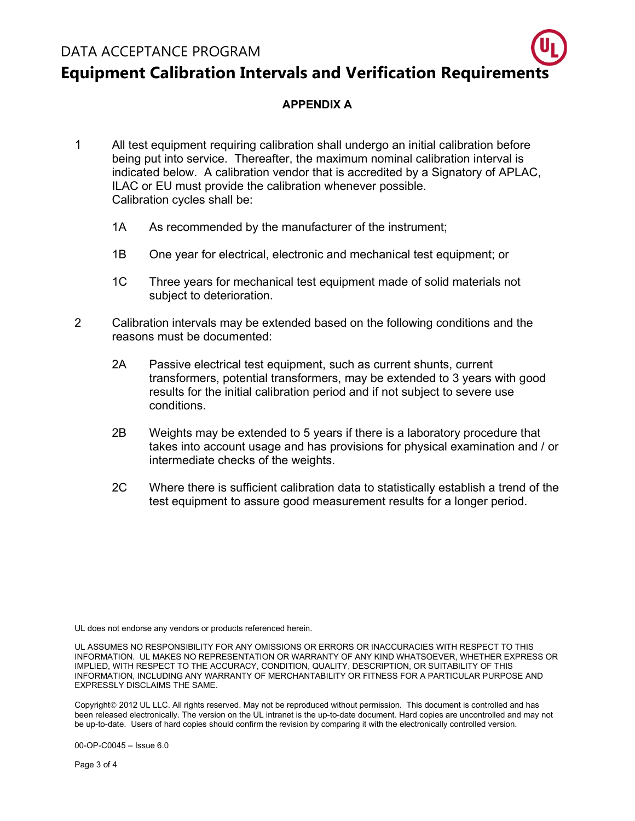## Equipment Calibration Intervals and Verification Requirements

## APPENDIX A

- 1 All test equipment requiring calibration shall undergo an initial calibration before being put into service. Thereafter, the maximum nominal calibration interval is indicated below. A calibration vendor that is accredited by a Signatory of APLAC, ILAC or EU must provide the calibration whenever possible. Calibration cycles shall be:
	- 1A As recommended by the manufacturer of the instrument;
	- 1B One year for electrical, electronic and mechanical test equipment; or
	- 1C Three years for mechanical test equipment made of solid materials not subject to deterioration.
- 2 Calibration intervals may be extended based on the following conditions and the reasons must be documented:
	- 2A Passive electrical test equipment, such as current shunts, current transformers, potential transformers, may be extended to 3 years with good results for the initial calibration period and if not subject to severe use conditions.
	- 2B Weights may be extended to 5 years if there is a laboratory procedure that takes into account usage and has provisions for physical examination and / or intermediate checks of the weights.
	- 2C Where there is sufficient calibration data to statistically establish a trend of the test equipment to assure good measurement results for a longer period.

UL does not endorse any vendors or products referenced herein.

UL ASSUMES NO RESPONSIBILITY FOR ANY OMISSIONS OR ERRORS OR INACCURACIES WITH RESPECT TO THIS INFORMATION. UL MAKES NO REPRESENTATION OR WARRANTY OF ANY KIND WHATSOEVER, WHETHER EXPRESS OR IMPLIED, WITH RESPECT TO THE ACCURACY, CONDITION, QUALITY, DESCRIPTION, OR SUITABILITY OF THIS INFORMATION, INCLUDING ANY WARRANTY OF MERCHANTABILITY OR FITNESS FOR A PARTICULAR PURPOSE AND EXPRESSLY DISCLAIMS THE SAME.

Copyright 2012 UL LLC. All rights reserved. May not be reproduced without permission. This document is controlled and has been released electronically. The version on the UL intranet is the up-to-date document. Hard copies are uncontrolled and may not be up-to-date. Users of hard copies should confirm the revision by comparing it with the electronically controlled version.

00-OP-C0045 – Issue 6.0

Page 3 of 4